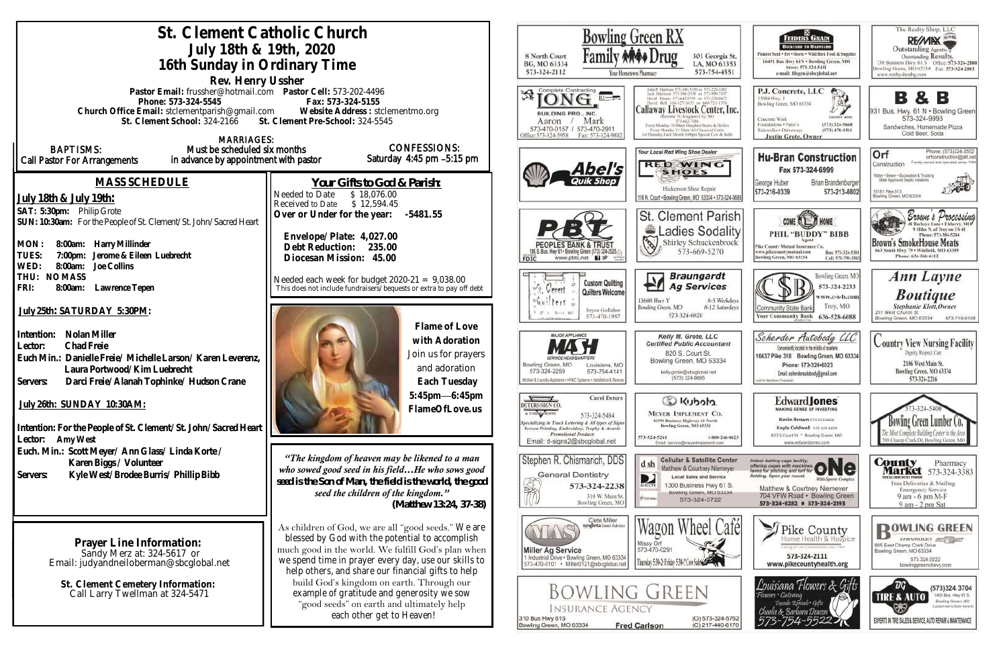